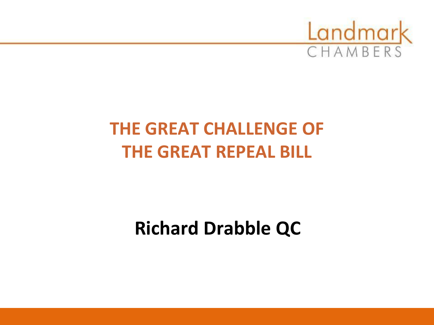

# **THE GREAT CHALLENGE OF THE GREAT REPEAL BILL**

# **Richard Drabble QC**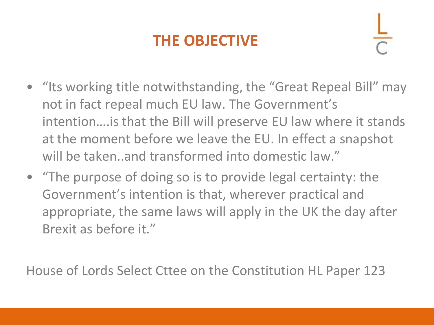## **THE OBJECTIVE**

- "Its working title notwithstanding, the "Great Repeal Bill" may not in fact repeal much EU law. The Government's intention….is that the Bill will preserve EU law where it stands at the moment before we leave the EU. In effect a snapshot will be taken..and transformed into domestic law."
- "The purpose of doing so is to provide legal certainty: the Government's intention is that, wherever practical and appropriate, the same laws will apply in the UK the day after Brexit as before it."

House of Lords Select Cttee on the Constitution HL Paper 123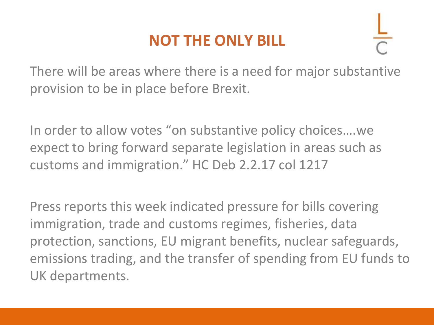### **NOT THE ONLY BILL**



There will be areas where there is a need for major substantive provision to be in place before Brexit.

In order to allow votes "on substantive policy choices….we expect to bring forward separate legislation in areas such as customs and immigration." HC Deb 2.2.17 col 1217

Press reports this week indicated pressure for bills covering immigration, trade and customs regimes, fisheries, data protection, sanctions, EU migrant benefits, nuclear safeguards, emissions trading, and the transfer of spending from EU funds to UK departments.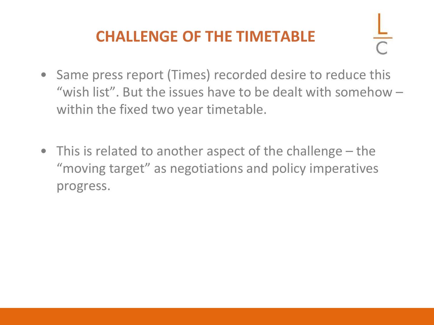### **CHALLENGE OF THE TIMETABLE**

- Same press report (Times) recorded desire to reduce this "wish list". But the issues have to be dealt with somehow – within the fixed two year timetable.
- This is related to another aspect of the challenge the "moving target" as negotiations and policy imperatives progress.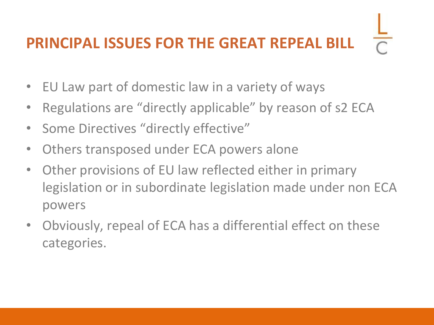# **PRINCIPAL ISSUES FOR THE GREAT REPEAL BILL**

- EU Law part of domestic law in a variety of ways
- Regulations are "directly applicable" by reason of s2 ECA
- Some Directives "directly effective"
- Others transposed under ECA powers alone
- Other provisions of EU law reflected either in primary legislation or in subordinate legislation made under non ECA powers
- Obviously, repeal of ECA has a differential effect on these categories.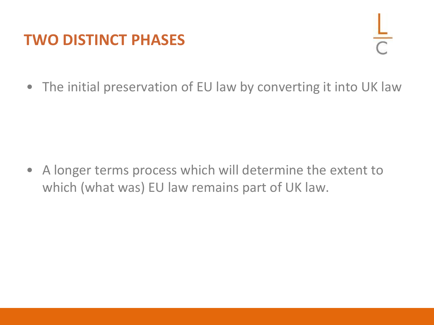#### **TWO DISTINCT PHASES**



• The initial preservation of EU law by converting it into UK law

• A longer terms process which will determine the extent to which (what was) EU law remains part of UK law.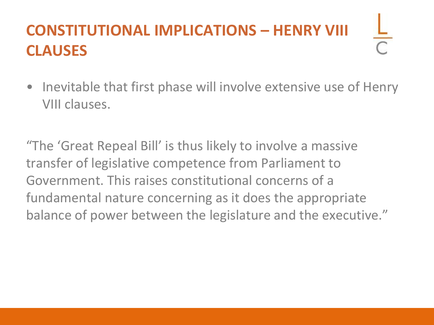## **CONSTITUTIONAL IMPLICATIONS – HENRY VIII CLAUSES**

• Inevitable that first phase will involve extensive use of Henry VIII clauses.

"The 'Great Repeal Bill' is thus likely to involve a massive transfer of legislative competence from Parliament to Government. This raises constitutional concerns of a fundamental nature concerning as it does the appropriate balance of power between the legislature and the executive."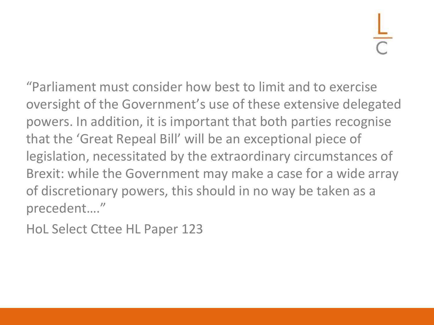"Parliament must consider how best to limit and to exercise oversight of the Government's use of these extensive delegated powers. In addition, it is important that both parties recognise that the 'Great Repeal Bill' will be an exceptional piece of legislation, necessitated by the extraordinary circumstances of Brexit: while the Government may make a case for a wide array of discretionary powers, this should in no way be taken as a precedent…."

HoL Select Cttee HL Paper 123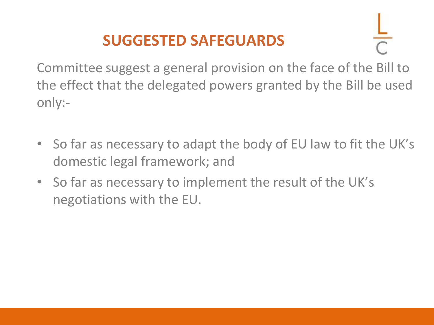## **SUGGESTED SAFEGUARDS**

Committee suggest a general provision on the face of the Bill to the effect that the delegated powers granted by the Bill be used only:-

- So far as necessary to adapt the body of EU law to fit the UK's domestic legal framework; and
- So far as necessary to implement the result of the UK's negotiations with the EU.